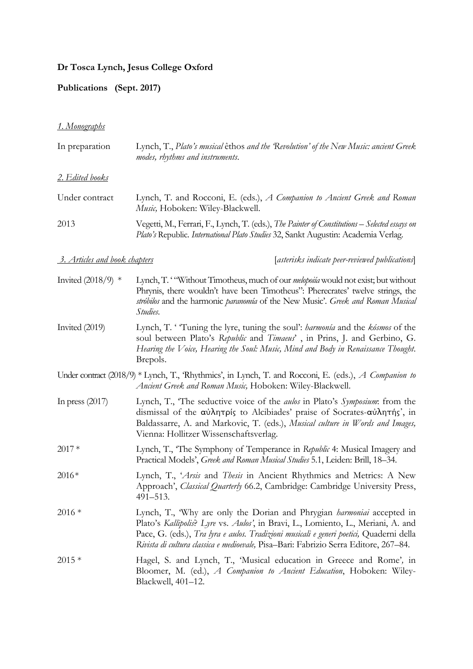## **Dr Tosca Lynch, Jesus College Oxford**

## **Publications (Sept. 2017)**

## *1. Monographs*

| In preparation                       | Lynch, T., Plato's musical êthos and the Revolution' of the New Music: ancient Greek<br>modes, rhythms and instruments.                                                                                                                                                                                                                              |
|--------------------------------------|------------------------------------------------------------------------------------------------------------------------------------------------------------------------------------------------------------------------------------------------------------------------------------------------------------------------------------------------------|
| <u>2. Edited books</u>               |                                                                                                                                                                                                                                                                                                                                                      |
| Under contract                       | Lynch, T. and Rocconi, E. (eds.), A Companion to Ancient Greek and Roman<br>Music, Hoboken: Wiley-Blackwell.                                                                                                                                                                                                                                         |
| 2013                                 | Vegetti, M., Ferrari, F., Lynch, T. (eds.), The Painter of Constitutions - Selected essays on<br>Plato's Republic. International Plato Studies 32, Sankt Augustin: Academia Verlag.                                                                                                                                                                  |
| <u>3. Articles and book chapters</u> | [asterisks indicate peer-reviewed publications]                                                                                                                                                                                                                                                                                                      |
| Invited $(2018/9)$ *                 | Lynch, T. "Without Timotheus, much of our <i>melopoiía</i> would not exist; but without<br>Phrynis, there wouldn't have been Timotheus": Pherecrates' twelve strings, the<br>stróbilos and the harmonic paranomía of the New Music'. Greek and Roman Musical<br>Studies.                                                                             |
| Invited (2019)                       | Lynch, T. 'Tuning the lyre, tuning the soul': <i>harmonia</i> and the <i>kósmos</i> of the<br>soul between Plato's Republic and Timaeus', in Prins, J. and Gerbino, G.<br>Hearing the Voice, Hearing the Soul: Music, Mind and Body in Renaissance Thought.<br>Brepols.                                                                              |
|                                      | Under contract (2018/9) * Lynch, T., 'Rhythmics', in Lynch, T. and Rocconi, E. (eds.), A Companion to<br>Ancient Greek and Roman Music, Hoboken: Wiley-Blackwell.                                                                                                                                                                                    |
| In press $(2017)$                    | Lynch, T., 'The seductive voice of the <i>aulos</i> in Plato's <i>Symposium</i> : from the<br>dismissal of the αύλητρίς to Alcibiades' praise of Socrates-αύλητής', in<br>Baldassarre, A. and Markovic, T. (eds.), Musical culture in Words and Images,<br>Vienna: Hollitzer Wissenschaftsverlag.                                                    |
| $2017*$                              | Lynch, T., 'The Symphony of Temperance in Republic 4: Musical Imagery and<br>Practical Models', Greek and Roman Musical Studies 5.1, Leiden: Brill, 18–34.                                                                                                                                                                                           |
| $2016*$                              | Lynch, T., 'Arsis and Thesis in Ancient Rhythmics and Metrics: A New<br>Approach', Classical Quarterly 66.2, Cambridge: Cambridge University Press,<br>$491 - 513.$                                                                                                                                                                                  |
| $2016*$                              | Lynch, T., 'Why are only the Dorian and Phrygian <i>harmoniai</i> accepted in<br>Plato's Kallipolis? Lyre vs. Aulos', in Bravi, L., Lomiento, L., Meriani, A. and<br>Pace, G. (eds.), Tra lyra e aulos. Tradizioni musicali e generi poetici, Quaderni della<br>Rivista di cultura classica e medioevale, Pisa-Bari: Fabrizio Serra Editore, 267–84. |
| $2015*$                              | Hagel, S. and Lynch, T., 'Musical education in Greece and Rome', in<br>Bloomer, M. (ed.), A Companion to Ancient Education, Hoboken: Wiley-<br>Blackwell, 401-12.                                                                                                                                                                                    |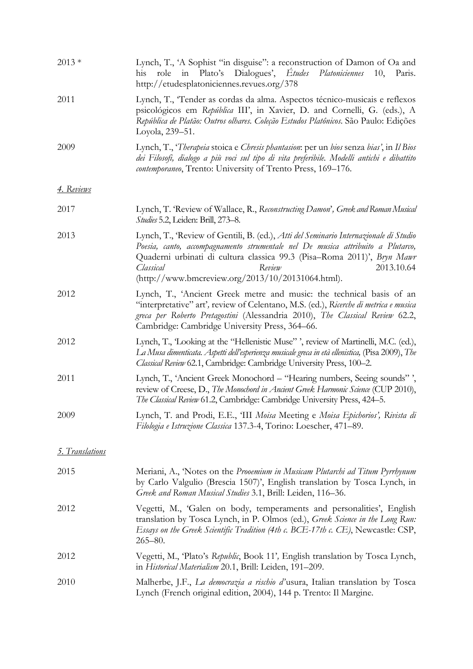| $2013*$                | Lynch, T., 'A Sophist "in disguise": a reconstruction of Damon of Oa and<br>role in Plato's Dialogues', Etudes<br>Platoniciennes<br>his<br>10, Paris.<br>http://etudesplatoniciennes.revues.org/378                                                                                                                                          |
|------------------------|----------------------------------------------------------------------------------------------------------------------------------------------------------------------------------------------------------------------------------------------------------------------------------------------------------------------------------------------|
| 2011                   | Lynch, T., 'Tender as cordas da alma. Aspectos técnico-musicais e reflexos<br>psicológicos em República III', in Xavier, D. and Cornelli, G. (eds.), A<br>República de Platão: Outros olhares. Coleção Estudos Platônicos. São Paulo: Edições<br>Loyola, 239–51.                                                                             |
| 2009                   | Lynch, T., 'Therapeia stoica e Chresis phantasion: per un bios senza bias', in Il Bios<br>dei Filosofi, dialogo a più voci sul tipo di vita preferibile. Modelli antichi e dibattito<br>contemporaneo, Trento: University of Trento Press, 169-176.                                                                                          |
| <u> 4. Reviews</u>     |                                                                                                                                                                                                                                                                                                                                              |
| 2017                   | Lynch, T. 'Review of Wallace, R., Reconstructing Damon', Greek and Roman Musical<br><i>Studies</i> 5.2, Leiden: Brill, 273–8.                                                                                                                                                                                                                |
| 2013                   | Lynch, T., 'Review of Gentili, B. (ed.), Atti del Seminario Internazionale di Studio<br>Poesia, canto, accompagnamento strumentale nel De musica attribuito a Plutarco,<br>Quaderni urbinati di cultura classica 99.3 (Pisa-Roma 2011)', Bryn Mawr<br>2013.10.64<br>Classical<br>Review<br>(http://www.bmcreview.org/2013/10/20131064.html). |
| 2012                   | Lynch, T., 'Ancient Greek metre and music: the technical basis of an<br>"interpretative" art', review of Celentano, M.S. (ed.), Ricerche di metrica e musica<br>greca per Roberto Pretagostini (Alessandria 2010), The Classical Review 62.2,<br>Cambridge: Cambridge University Press, 364–66.                                              |
| 2012                   | Lynch, T., Looking at the "Hellenistic Muse", review of Martinelli, M.C. (ed.),<br>La Musa dimenticata. Aspetti dell'esperienza musicale greca in età ellenistica, (Pisa 2009), The<br>Classical Review 62.1, Cambridge: Cambridge University Press, 100-2.                                                                                  |
| 2011                   | Lynch, T., 'Ancient Greek Monochord - "Hearing numbers, Seeing sounds",<br>review of Creese, D., The Monochord in Ancient Greek Harmonic Science (CUP 2010),<br>The Classical Review 61.2, Cambridge: Cambridge University Press, 424-5.                                                                                                     |
| 2009                   | Lynch, T. and Prodi, E.E., 'III Moisa Meeting e Moisa Epichorios', Rivista di<br>Filologia e Istruzione Classica 137.3-4, Torino: Loescher, 471–89.                                                                                                                                                                                          |
| <u>5. Translations</u> |                                                                                                                                                                                                                                                                                                                                              |
| 2015                   | Meriani, A., 'Notes on the Prooemium in Musicam Plutarchi ad Titum Pyrrhynum<br>by Carlo Valgulio (Brescia 1507)', English translation by Tosca Lynch, in<br>Greek and Roman Musical Studies 3.1, Brill: Leiden, 116–36.                                                                                                                     |
| 2012                   | Vegetti, M., 'Galen on body, temperaments and personalities', English<br>translation by Tosca Lynch, in P. Olmos (ed.), Greek Science in the Long Run:<br>Essays on the Greek Scientific Tradition (4th c. BCE-17th c. CE), Newcastle: CSP,<br>$265 - 80.$                                                                                   |
| 2012                   | Vegetti, M., 'Plato's Republic, Book 11', English translation by Tosca Lynch,<br>in Historical Materialism 20.1, Brill: Leiden, 191-209.                                                                                                                                                                                                     |
| 2010                   | Malherbe, J.F., <i>La democrazia a rischio d'</i> usura, Italian translation by Tosca<br>Lynch (French original edition, 2004), 144 p. Trento: Il Margine.                                                                                                                                                                                   |